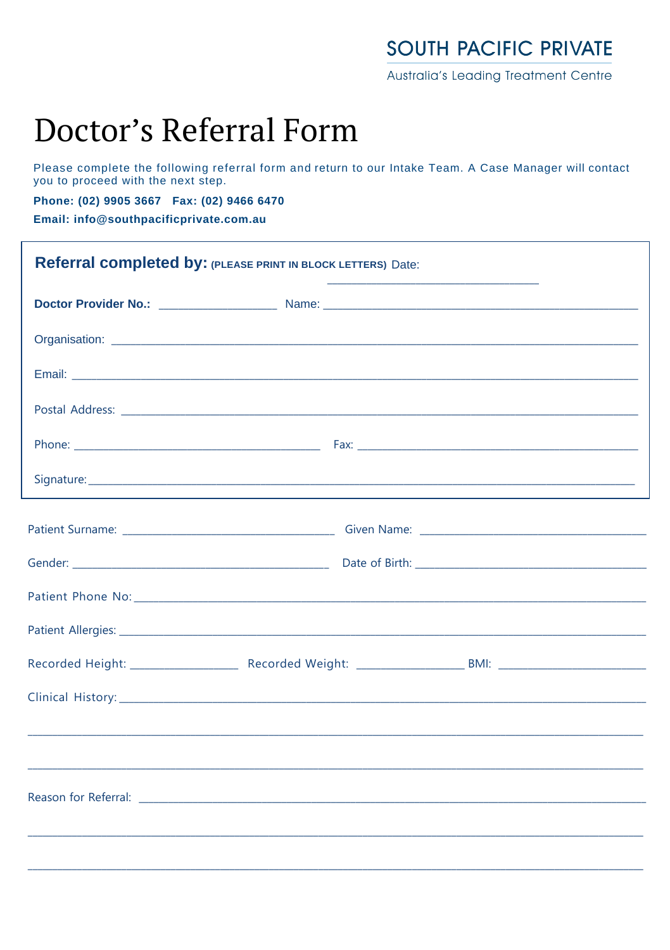## **SOUTH PACIFIC PRIVATE**

Australia's Leading Treatment Centre

## Doctor's Referral Form

Please complete the following referral form and return to our Intake Team. A Case Manager will contact you to proceed with the next step.

Phone: (02) 9905 3667 Fax: (02) 9466 6470

Email: info@southpacificprivate.com.au

| Referral completed by: (PLEASE PRINT IN BLOCK LETTERS) Date: |                                                                                                               |  |  |
|--------------------------------------------------------------|---------------------------------------------------------------------------------------------------------------|--|--|
|                                                              | Doctor Provider No.: 2008. [2010] Mannes Mannes 2012 [2010] Mannes 2012 [2010] Mannes 2012 [2010] Mannes 2012 |  |  |
|                                                              |                                                                                                               |  |  |
|                                                              |                                                                                                               |  |  |
|                                                              |                                                                                                               |  |  |
|                                                              |                                                                                                               |  |  |
|                                                              |                                                                                                               |  |  |
|                                                              |                                                                                                               |  |  |
|                                                              |                                                                                                               |  |  |
|                                                              |                                                                                                               |  |  |
|                                                              |                                                                                                               |  |  |
|                                                              |                                                                                                               |  |  |
|                                                              |                                                                                                               |  |  |
|                                                              |                                                                                                               |  |  |
|                                                              |                                                                                                               |  |  |
|                                                              |                                                                                                               |  |  |
|                                                              |                                                                                                               |  |  |